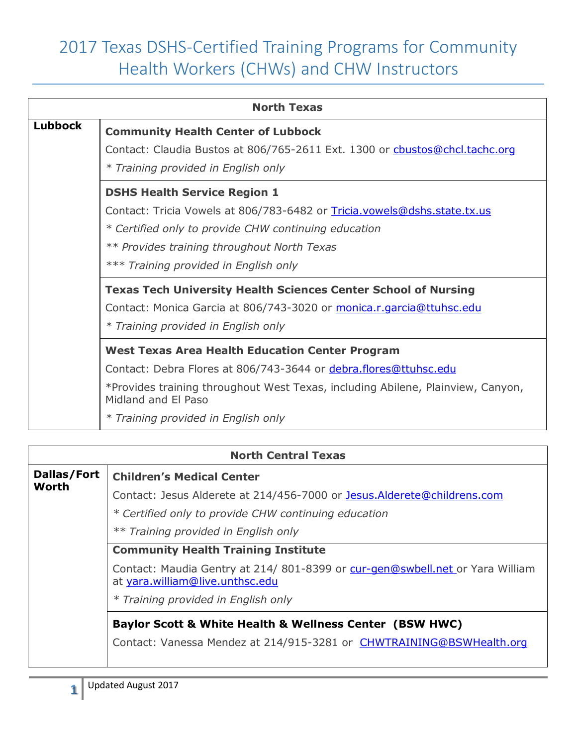| <b>North Texas</b> |                                                                                                        |
|--------------------|--------------------------------------------------------------------------------------------------------|
| <b>Lubbock</b>     | <b>Community Health Center of Lubbock</b>                                                              |
|                    | Contact: Claudia Bustos at 806/765-2611 Ext. 1300 or cbustos@chcl.tachc.org                            |
|                    | * Training provided in English only                                                                    |
|                    | <b>DSHS Health Service Region 1</b>                                                                    |
|                    | Contact: Tricia Vowels at 806/783-6482 or Tricia.vowels@dshs.state.tx.us                               |
|                    | * Certified only to provide CHW continuing education                                                   |
|                    | ** Provides training throughout North Texas                                                            |
|                    | *** Training provided in English only                                                                  |
|                    | <b>Texas Tech University Health Sciences Center School of Nursing</b>                                  |
|                    | Contact: Monica Garcia at 806/743-3020 or monica.r.garcia@ttuhsc.edu                                   |
|                    | * Training provided in English only                                                                    |
|                    | <b>West Texas Area Health Education Center Program</b>                                                 |
|                    | Contact: Debra Flores at 806/743-3644 or debra.flores@ttuhsc.edu                                       |
|                    | *Provides training throughout West Texas, including Abilene, Plainview, Canyon,<br>Midland and El Paso |
|                    | * Training provided in English only                                                                    |

| <b>North Central Texas</b> |                                                                                                                 |
|----------------------------|-----------------------------------------------------------------------------------------------------------------|
| Dallas/Fort                | <b>Children's Medical Center</b>                                                                                |
| <b>Worth</b>               | Contact: Jesus Alderete at 214/456-7000 or Jesus.Alderete@childrens.com                                         |
|                            | * Certified only to provide CHW continuing education                                                            |
|                            | ** Training provided in English only                                                                            |
|                            | <b>Community Health Training Institute</b>                                                                      |
|                            | Contact: Maudia Gentry at 214/801-8399 or cur-gen@swbell.net or Yara William<br>at yara.william@live.unthsc.edu |
|                            | * Training provided in English only                                                                             |
|                            | <b>Baylor Scott &amp; White Health &amp; Wellness Center (BSW HWC)</b>                                          |
|                            | Contact: Vanessa Mendez at 214/915-3281 or CHWTRAINING@BSWHealth.org                                            |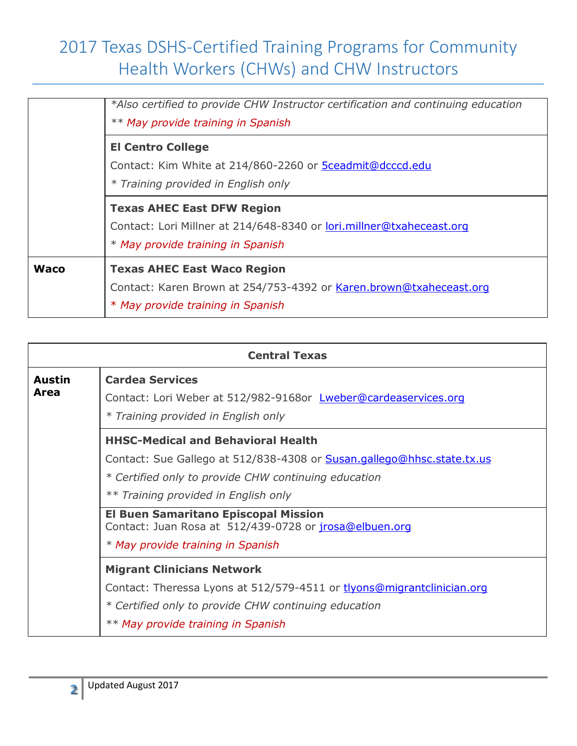|             | *Also certified to provide CHW Instructor certification and continuing education<br>** May provide training in Spanish                         |
|-------------|------------------------------------------------------------------------------------------------------------------------------------------------|
|             | <b>El Centro College</b><br>Contact: Kim White at 214/860-2260 or 5ceadmit@dcccd.edu<br>* Training provided in English only                    |
|             | <b>Texas AHEC East DFW Region</b><br>Contact: Lori Millner at 214/648-8340 or lori.millner@txaheceast.org<br>* May provide training in Spanish |
| <b>Waco</b> | <b>Texas AHEC East Waco Region</b><br>Contact: Karen Brown at 254/753-4392 or Karen.brown@txaheceast.org<br>* May provide training in Spanish  |

| <b>Central Texas</b>  |                                                                                                                                  |
|-----------------------|----------------------------------------------------------------------------------------------------------------------------------|
| <b>Austin</b><br>Area | <b>Cardea Services</b><br>Contact: Lori Weber at 512/982-9168or Lweber@cardeaservices.org<br>* Training provided in English only |
|                       | <b>HHSC-Medical and Behavioral Health</b>                                                                                        |
|                       | Contact: Sue Gallego at 512/838-4308 or Susan.gallego@hhsc.state.tx.us                                                           |
|                       | * Certified only to provide CHW continuing education                                                                             |
|                       | ** Training provided in English only                                                                                             |
|                       | <b>El Buen Samaritano Episcopal Mission</b><br>Contact: Juan Rosa at 512/439-0728 or jrosa@elbuen.org                            |
|                       | * May provide training in Spanish                                                                                                |
|                       | <b>Migrant Clinicians Network</b>                                                                                                |
|                       | Contact: Theressa Lyons at 512/579-4511 or tlyons@migrantclinician.org                                                           |
|                       | * Certified only to provide CHW continuing education                                                                             |
|                       | ** May provide training in Spanish                                                                                               |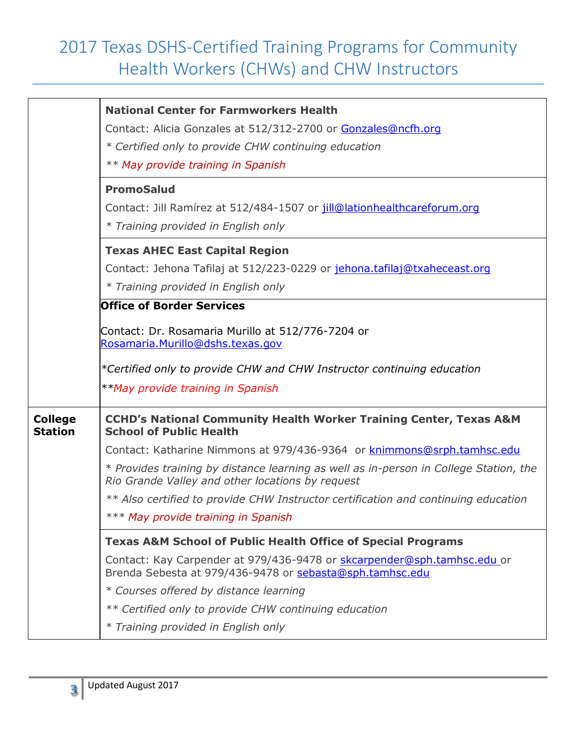|                                  | <b>National Center for Farmworkers Health</b>                                                                                             |
|----------------------------------|-------------------------------------------------------------------------------------------------------------------------------------------|
|                                  | Contact: Alicia Gonzales at 512/312-2700 or Gonzales@ncfh.org                                                                             |
|                                  | * Certified only to provide CHW continuing education                                                                                      |
|                                  | ** May provide training in Spanish                                                                                                        |
|                                  | <b>PromoSalud</b>                                                                                                                         |
|                                  | Contact: Jill Ramírez at 512/484-1507 or jill@lationhealthcareforum.org                                                                   |
|                                  | * Training provided in English only                                                                                                       |
|                                  | <b>Texas AHEC East Capital Region</b>                                                                                                     |
|                                  | Contact: Jehona Tafilaj at 512/223-0229 or jehona.tafilaj@txaheceast.org                                                                  |
|                                  | * Training provided in English only                                                                                                       |
|                                  | <b>Office of Border Services</b>                                                                                                          |
|                                  | Contact: Dr. Rosamaria Murillo at 512/776-7204 or<br>Rosamaria.Murillo@dshs.texas.gov                                                     |
|                                  | *Certified only to provide CHW and CHW Instructor continuing education                                                                    |
|                                  | **May provide training in Spanish                                                                                                         |
| <b>College</b><br><b>Station</b> | <b>CCHD's National Community Health Worker Training Center, Texas A&amp;M</b><br><b>School of Public Health</b>                           |
|                                  | Contact: Katharine Nimmons at 979/436-9364 or knimmons@srph.tamhsc.edu                                                                    |
|                                  | * Provides training by distance learning as well as in-person in College Station, the<br>Rio Grande Valley and other locations by request |
|                                  | ** Also certified to provide CHW Instructor certification and continuing education                                                        |
|                                  | *** May provide training in Spanish                                                                                                       |
|                                  | <b>Texas A&amp;M School of Public Health Office of Special Programs</b>                                                                   |
|                                  | Contact: Kay Carpender at 979/436-9478 or skcarpender@sph.tamhsc.edu or<br>Brenda Sebesta at 979/436-9478 or sebasta@sph.tamhsc.edu       |
|                                  | * Courses offered by distance learning                                                                                                    |
|                                  | ** Certified only to provide CHW continuing education                                                                                     |
|                                  | * Training provided in English only                                                                                                       |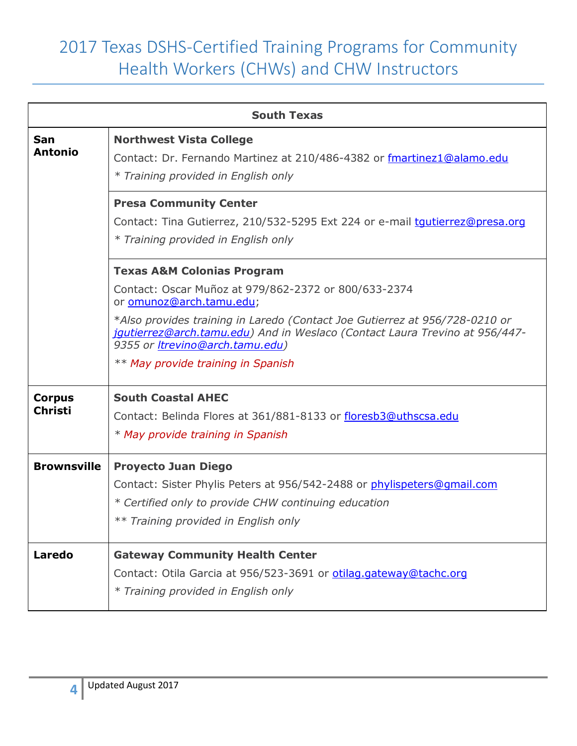| <b>South Texas</b> |                                                                                                                                                                                                       |
|--------------------|-------------------------------------------------------------------------------------------------------------------------------------------------------------------------------------------------------|
| San                | <b>Northwest Vista College</b>                                                                                                                                                                        |
| <b>Antonio</b>     | Contact: Dr. Fernando Martinez at 210/486-4382 or fmartinez1@alamo.edu                                                                                                                                |
|                    | * Training provided in English only                                                                                                                                                                   |
|                    | <b>Presa Community Center</b>                                                                                                                                                                         |
|                    | Contact: Tina Gutierrez, 210/532-5295 Ext 224 or e-mail tqutierrez@presa.org                                                                                                                          |
|                    | * Training provided in English only                                                                                                                                                                   |
|                    | <b>Texas A&amp;M Colonias Program</b>                                                                                                                                                                 |
|                    | Contact: Oscar Muñoz at 979/862-2372 or 800/633-2374<br>or omunoz@arch.tamu.edu;                                                                                                                      |
|                    | *Also provides training in Laredo (Contact Joe Gutierrez at 956/728-0210 or<br>jqutierrez@arch.tamu.edu) And in Weslaco (Contact Laura Trevino at 956/447-<br>9355 or <b>Itrevino@arch.tamu.edu</b> ) |
|                    | ** May provide training in Spanish                                                                                                                                                                    |
| <b>Corpus</b>      | <b>South Coastal AHEC</b>                                                                                                                                                                             |
| <b>Christi</b>     | Contact: Belinda Flores at 361/881-8133 or floresb3@uthscsa.edu                                                                                                                                       |
|                    | * May provide training in Spanish                                                                                                                                                                     |
| <b>Brownsville</b> | <b>Proyecto Juan Diego</b>                                                                                                                                                                            |
|                    | Contact: Sister Phylis Peters at 956/542-2488 or phylispeters@qmail.com                                                                                                                               |
|                    | * Certified only to provide CHW continuing education                                                                                                                                                  |
|                    | ** Training provided in English only                                                                                                                                                                  |
| <b>Laredo</b>      | <b>Gateway Community Health Center</b>                                                                                                                                                                |
|                    | Contact: Otila Garcia at 956/523-3691 or otilag.gateway@tachc.org                                                                                                                                     |
|                    | * Training provided in English only                                                                                                                                                                   |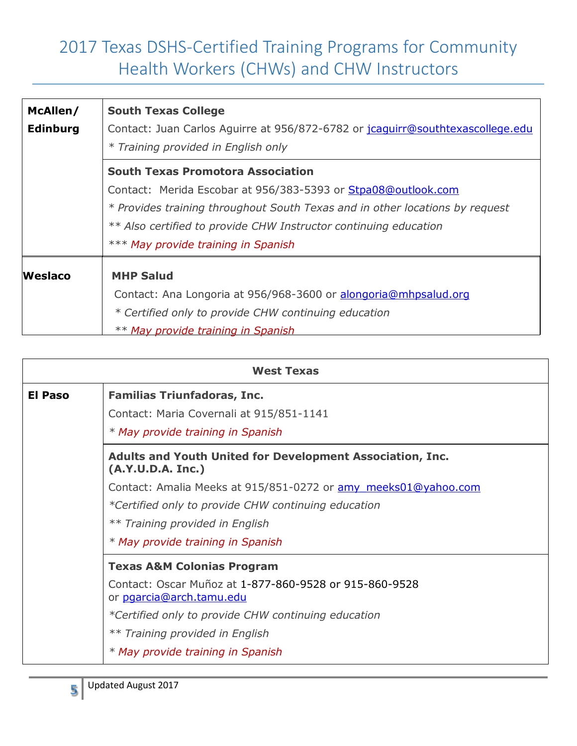| McAllen/        | <b>South Texas College</b>                                                     |
|-----------------|--------------------------------------------------------------------------------|
| <b>Edinburg</b> | Contact: Juan Carlos Aguirre at 956/872-6782 or jcaguirr@southtexascollege.edu |
|                 | * Training provided in English only                                            |
|                 | <b>South Texas Promotora Association</b>                                       |
|                 | Contact: Merida Escobar at 956/383-5393 or Stpa08@outlook.com                  |
|                 | * Provides training throughout South Texas and in other locations by request   |
|                 | ** Also certified to provide CHW Instructor continuing education               |
|                 | *** May provide training in Spanish                                            |
| <b>Weslaco</b>  | <b>MHP Salud</b>                                                               |
|                 | Contact: Ana Longoria at 956/968-3600 or alongoria@mhpsalud.org                |
|                 | * Certified only to provide CHW continuing education                           |
|                 | ** May provide training in Spanish                                             |

|                | <b>West Texas</b>                                                                     |
|----------------|---------------------------------------------------------------------------------------|
| <b>El Paso</b> | <b>Familias Triunfadoras, Inc.</b>                                                    |
|                | Contact: Maria Covernali at 915/851-1141                                              |
|                | * May provide training in Spanish                                                     |
|                | <b>Adults and Youth United for Development Association, Inc.</b><br>(A.Y.U.D.A. Inc.) |
|                | Contact: Amalia Meeks at 915/851-0272 or amy meeks01@yahoo.com                        |
|                | *Certified only to provide CHW continuing education                                   |
|                | ** Training provided in English                                                       |
|                | * May provide training in Spanish                                                     |
|                | <b>Texas A&amp;M Colonias Program</b>                                                 |
|                | Contact: Oscar Muñoz at 1-877-860-9528 or 915-860-9528<br>or pgarcia@arch.tamu.edu    |
|                | *Certified only to provide CHW continuing education                                   |
|                | ** Training provided in English                                                       |
|                | * May provide training in Spanish                                                     |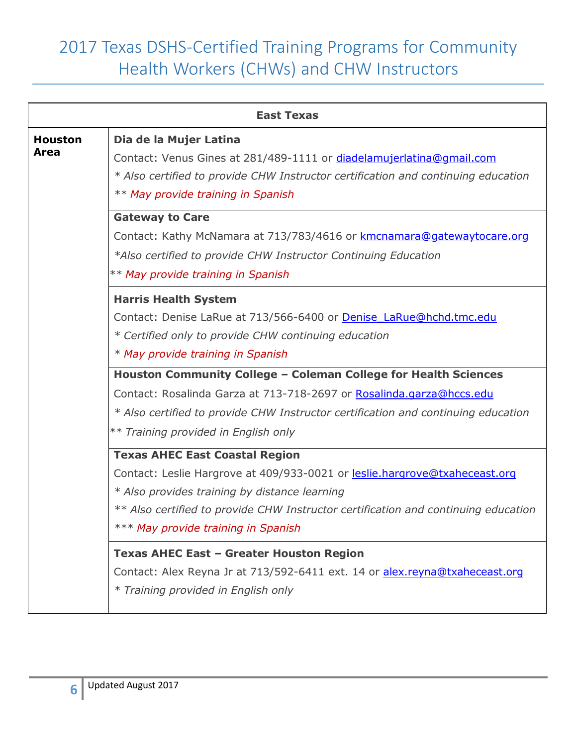|                | <b>East Texas</b>                                                                  |
|----------------|------------------------------------------------------------------------------------|
| <b>Houston</b> | Dia de la Mujer Latina                                                             |
| Area           | Contact: Venus Gines at 281/489-1111 or diadelamujerlatina@qmail.com               |
|                | * Also certified to provide CHW Instructor certification and continuing education  |
|                | ** May provide training in Spanish                                                 |
|                | <b>Gateway to Care</b>                                                             |
|                | Contact: Kathy McNamara at 713/783/4616 or kmcnamara@gatewaytocare.org             |
|                | *Also certified to provide CHW Instructor Continuing Education                     |
|                | ** May provide training in Spanish                                                 |
|                | <b>Harris Health System</b>                                                        |
|                | Contact: Denise LaRue at 713/566-6400 or Denise LaRue@hchd.tmc.edu                 |
|                | * Certified only to provide CHW continuing education                               |
|                | * May provide training in Spanish                                                  |
|                | Houston Community College - Coleman College for Health Sciences                    |
|                | Contact: Rosalinda Garza at 713-718-2697 or Rosalinda.garza@hccs.edu               |
|                | * Also certified to provide CHW Instructor certification and continuing education  |
|                | ** Training provided in English only                                               |
|                | <b>Texas AHEC East Coastal Region</b>                                              |
|                | Contact: Leslie Hargrove at 409/933-0021 or leslie.hargrove@txaheceast.org         |
|                | * Also provides training by distance learning                                      |
|                | ** Also certified to provide CHW Instructor certification and continuing education |
|                | *** May provide training in Spanish                                                |
|                | <b>Texas AHEC East - Greater Houston Region</b>                                    |
|                | Contact: Alex Reyna Jr at 713/592-6411 ext. 14 or alex.reyna@txaheceast.org        |
|                | * Training provided in English only                                                |
|                |                                                                                    |